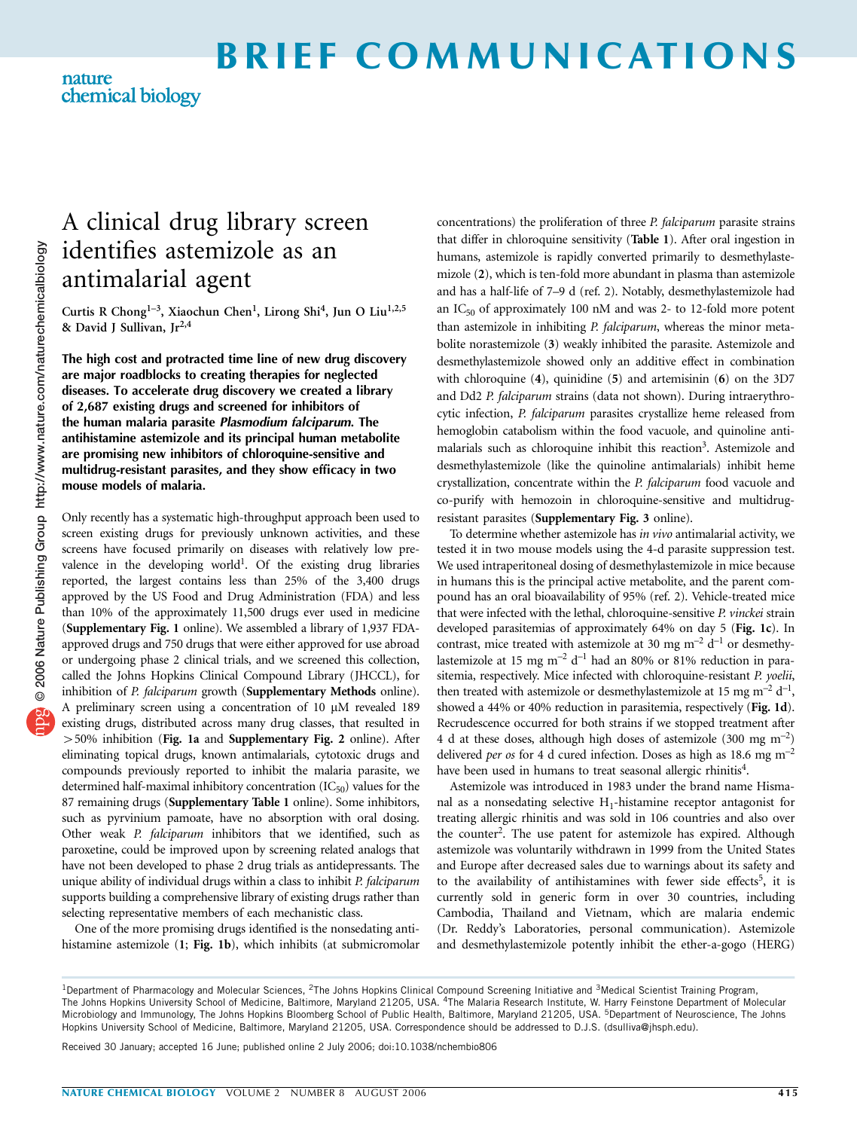# BRIEF COMMUNICATIONS

### nature chemical biology

## A clinical drug library screen identifies astemizole as an antimalarial agent

Curtis R Chong<sup>1-3</sup>, Xiaochun Chen<sup>1</sup>, Lirong Shi<sup>4</sup>, Jun O Liu<sup>1,2,5</sup> & David J Sullivan,  $Jr^{2,4}$ 

The high cost and protracted time line of new drug discovery are major roadblocks to creating therapies for neglected diseases. To accelerate drug discovery we created a library of 2,687 existing drugs and screened for inhibitors of the human malaria parasite Plasmodium falciparum. The antihistamine astemizole and its principal human metabolite are promising new inhibitors of chloroquine-sensitive and multidrug-resistant parasites, and they show efficacy in two mouse models of malaria.

Only recently has a systematic high-throughput approach been used to screen existing drugs for previously unknown activities, and these screens have focused primarily on diseases with relatively low prevalence in the developing world<sup>1</sup>. Of the existing drug libraries reported, the largest contains less than 25% of the 3,400 drugs approved by the US Food and Drug Administration (FDA) and less than 10% of the approximately 11,500 drugs ever used in medicine (Supplementary Fig. 1 online). We assembled a library of 1,937 FDAapproved drugs and 750 drugs that were either approved for use abroad or undergoing phase 2 clinical trials, and we screened this collection, called the Johns Hopkins Clinical Compound Library (JHCCL), for inhibition of P. falciparum growth (Supplementary Methods online). A preliminary screen using a concentration of  $10 \mu M$  revealed  $189$ existing drugs, distributed across many drug classes, that resulted in 450% inhibition (Fig. 1a and Supplementary Fig. 2 online). After eliminating topical drugs, known antimalarials, cytotoxic drugs and compounds previously reported to inhibit the malaria parasite, we determined half-maximal inhibitory concentration  $(IC_{50})$  values for the 87 remaining drugs (Supplementary Table 1 online). Some inhibitors, such as pyrvinium pamoate, have no absorption with oral dosing. Other weak P. falciparum inhibitors that we identified, such as paroxetine, could be improved upon by screening related analogs that have not been developed to phase 2 drug trials as antidepressants. The unique ability of individual drugs within a class to inhibit P. falciparum supports building a comprehensive library of existing drugs rather than selecting representative members of each mechanistic class.

One of the more promising drugs identified is the nonsedating antihistamine astemizole (1; Fig. 1b), which inhibits (at submicromolar concentrations) the proliferation of three P. falciparum parasite strains that differ in chloroquine sensitivity (Table 1). After oral ingestion in humans, astemizole is rapidly converted primarily to desmethylastemizole (2), which is ten-fold more abundant in plasma than astemizole and has a half-life of 7–9 d (ref. 2). Notably, desmethylastemizole had an  $IC_{50}$  of approximately 100 nM and was 2- to 12-fold more potent than astemizole in inhibiting P. falciparum, whereas the minor metabolite norastemizole (3) weakly inhibited the parasite. Astemizole and desmethylastemizole showed only an additive effect in combination with chloroquine (4), quinidine (5) and artemisinin (6) on the 3D7 and Dd2 P. falciparum strains (data not shown). During intraerythrocytic infection, P. falciparum parasites crystallize heme released from hemoglobin catabolism within the food vacuole, and quinoline antimalarials such as chloroquine inhibit this reaction<sup>3</sup>. Astemizole and desmethylastemizole (like the quinoline antimalarials) inhibit heme crystallization, concentrate within the P. falciparum food vacuole and co-purify with hemozoin in chloroquine-sensitive and multidrugresistant parasites (Supplementary Fig. 3 online).

To determine whether astemizole has in vivo antimalarial activity, we tested it in two mouse models using the 4-d parasite suppression test. We used intraperitoneal dosing of desmethylastemizole in mice because in humans this is the principal active metabolite, and the parent compound has an oral bioavailability of 95% (ref. 2). Vehicle-treated mice that were infected with the lethal, chloroquine-sensitive P. vinckei strain developed parasitemias of approximately 64% on day 5 (Fig. 1c). In contrast, mice treated with astemizole at 30 mg  $m^{-2}$  d<sup>-1</sup> or desmethylastemizole at 15 mg  $m^{-2}$  d<sup>-1</sup> had an 80% or 81% reduction in parasitemia, respectively. Mice infected with chloroquine-resistant P. yoelii, then treated with astemizole or desmethylastemizole at 15 mg m<sup>-2</sup>  $d^{-1}$ , showed a 44% or 40% reduction in parasitemia, respectively (Fig. 1d). Recrudescence occurred for both strains if we stopped treatment after 4 d at these doses, although high doses of astemizole  $(300 \text{ mg m}^{-2})$ delivered per os for 4 d cured infection. Doses as high as 18.6 mg  $m^{-2}$ have been used in humans to treat seasonal allergic rhinitis<sup>4</sup>.

Astemizole was introduced in 1983 under the brand name Hismanal as a nonsedating selective  $H_1$ -histamine receptor antagonist for treating allergic rhinitis and was sold in 106 countries and also over the counter<sup>2</sup>. The use patent for astemizole has expired. Although astemizole was voluntarily withdrawn in 1999 from the United States and Europe after decreased sales due to warnings about its safety and to the availability of antihistamines with fewer side effects<sup>5</sup>, it is currently sold in generic form in over 30 countries, including Cambodia, Thailand and Vietnam, which are malaria endemic (Dr. Reddy's Laboratories, personal communication). Astemizole and desmethylastemizole potently inhibit the ether-a-gogo (HERG)

Received 30 January; accepted 16 June; published online 2 July 2006; doi:10.1038/nchembio806

<sup>&</sup>lt;sup>1</sup>Department of Pharmacology and Molecular Sciences, <sup>2</sup>The Johns Hopkins Clinical Compound Screening Initiative and <sup>3</sup>Medical Scientist Training Program, The Johns Hopkins University School of Medicine, Baltimore, Maryland 21205, USA. <sup>4</sup>The Malaria Research Institute, W. Harry Feinstone Department of Molecular Microbiology and Immunology, The Johns Hopkins Bloomberg School of Public Health, Baltimore, Maryland 21205, USA. 5Department of Neuroscience, The Johns Hopkins University School of Medicine, Baltimore, Maryland 21205, USA. Correspondence should be addressed to D.J.S. (dsulliva@jhsph.edu).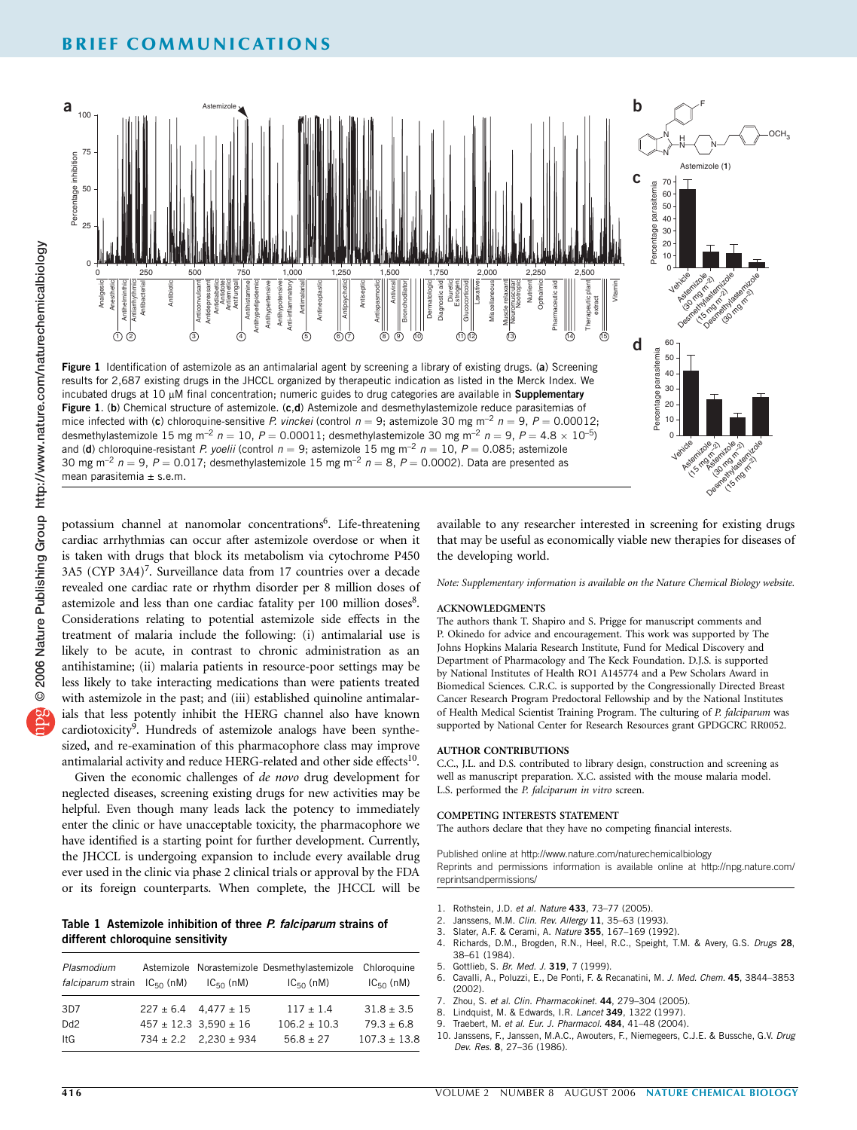### BRIEF COMMUNICATIONS



potassium channel at nanomolar concentrations<sup>6</sup>. Life-threatening cardiac arrhythmias can occur after astemizole overdose or when it is taken with drugs that block its metabolism via cytochrome P450 3A5 (CYP 3A4)<sup>7</sup>. Surveillance data from 17 countries over a decade revealed one cardiac rate or rhythm disorder per 8 million doses of astemizole and less than one cardiac fatality per 100 million doses8. Considerations relating to potential astemizole side effects in the treatment of malaria include the following: (i) antimalarial use is likely to be acute, in contrast to chronic administration as an antihistamine; (ii) malaria patients in resource-poor settings may be less likely to take interacting medications than were patients treated with astemizole in the past; and (iii) established quinoline antimalarials that less potently inhibit the HERG channel also have known cardiotoxicity<sup>9</sup>. Hundreds of astemizole analogs have been synthesized, and re-examination of this pharmacophore class may improve antimalarial activity and reduce HERG-related and other side effects<sup>10</sup>.

Given the economic challenges of de novo drug development for neglected diseases, screening existing drugs for new activities may be helpful. Even though many leads lack the potency to immediately enter the clinic or have unacceptable toxicity, the pharmacophore we have identified is a starting point for further development. Currently, the JHCCL is undergoing expansion to include every available drug ever used in the clinic via phase 2 clinical trials or approval by the FDA or its foreign counterparts. When complete, the JHCCL will be

### Table 1 Astemizole inhibition of three P. falciparum strains of different chloroquine sensitivity

| Plasmodium                              |                               | Astemizole Norastemizole Desmethylastemizole Chloroquine |                  |
|-----------------------------------------|-------------------------------|----------------------------------------------------------|------------------|
| <i>falciparum</i> strain $IC_{50}$ (nM) | $IC_{50}$ (nM)                | $IC_{50}$ (nM)                                           | $IC_{50}$ (nM)   |
| 3D7                                     | $227 \pm 6.4$ 4.477 $\pm 15$  | $117 + 1.4$                                              | $31.8 \pm 3.5$   |
| D <sub>d</sub> 2                        | $457 \pm 12.3$ 3.590 $\pm$ 16 | $106.2 \pm 10.3$                                         | $79.3 \pm 6.8$   |
| ItG                                     | $734 \pm 2.2$ $2.230 \pm 934$ | $56.8 \pm 27$                                            | $107.3 \pm 13.8$ |

available to any researcher interested in screening for existing drugs that may be useful as economically viable new therapies for diseases of the developing world.

Note: Supplementary information is available on the Nature Chemical Biology website.

### ACKNOWLEDGMENTS

The authors thank T. Shapiro and S. Prigge for manuscript comments and P. Okinedo for advice and encouragement. This work was supported by The Johns Hopkins Malaria Research Institute, Fund for Medical Discovery and Department of Pharmacology and The Keck Foundation. D.J.S. is supported by National Institutes of Health RO1 A145774 and a Pew Scholars Award in Biomedical Sciences. C.R.C. is supported by the Congressionally Directed Breast Cancer Research Program Predoctoral Fellowship and by the National Institutes of Health Medical Scientist Training Program. The culturing of P. falciparum was supported by National Center for Research Resources grant GPDGCRC RR0052.

### AUTHOR CONTRIBUTIONS

C.C., J.L. and D.S. contributed to library design, construction and screening as well as manuscript preparation. X.C. assisted with the mouse malaria model. L.S. performed the P. falciparum in vitro screen.

#### COMPETING INTERESTS STATEMENT

The authors declare that they have no competing financial interests.

Published online at http://www.nature.com/naturechemicalbiology Reprints and permissions information is available online at http://npg.nature.com/ reprintsandpermissions/

- 1. Rothstein, J.D. et al. Nature 433, 73-77 (2005).
- 2. Janssens, M.M. Clin. Rev. Allergy 11, 35–63 (1993).
- 3. Slater, A.F. & Cerami, A. Nature 355, 167–169 (1992).
- 4. Richards, D.M., Brogden, R.N., Heel, R.C., Speight, T.M. & Avery, G.S. Drugs 28, 38–61 (1984).
- 5. Gottlieb, S. Br. Med. J. 319, 7 (1999).
- 6. Cavalli, A., Poluzzi, E., De Ponti, F. & Recanatini, M. J. Med. Chem. 45, 3844-3853 (2002).
- 7. Zhou, S. et al. Clin. Pharmacokinet. 44, 279-304 (2005).<br>8. Lindouist M. & Edwards, L. R. Lancet 349, 1322 (1997).
- Lindquist, M. & Edwards, I.R. Lancet 349, 1322 (1997).
- Traebert, M. et al. Eur. J. Pharmacol. 484, 41-48 (2004).
- 10. Janssens, F., Janssen, M.A.C., Awouters, F., Niemegeers, C.J.E. & Bussche, G.V. Drug Dev. Res. 8, 27–36 (1986).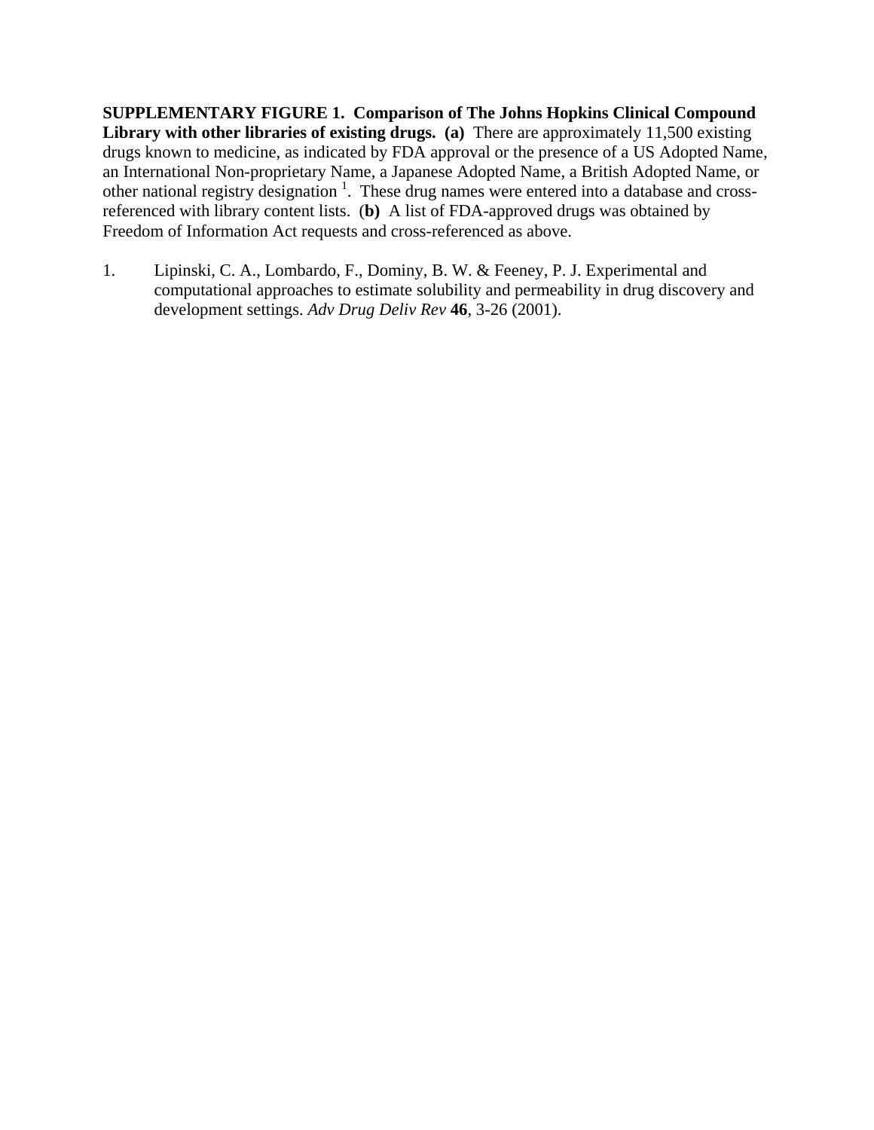**SUPPLEMENTARY FIGURE 1. Comparison of The Johns Hopkins Clinical Compound Library with other libraries of existing drugs. (a)** There are approximately 11,500 existing drugs known to medicine, as indicated by FDA approval or the presence of a US Adopted Name, an International Non-proprietary Name, a Japanese Adopted Name, a British Adopted Name, or other national registry designation<sup>1</sup>. These drug names were entered into a database and crossreferenced with library content lists. (**b)** A list of FDA-approved drugs was obtained by Freedom of Information Act requests and cross-referenced as above.

1. Lipinski, C. A., Lombardo, F., Dominy, B. W. & Feeney, P. J. Experimental and computational approaches to estimate solubility and permeability in drug discovery and development settings. *Adv Drug Deliv Rev* **46**, 3-26 (2001).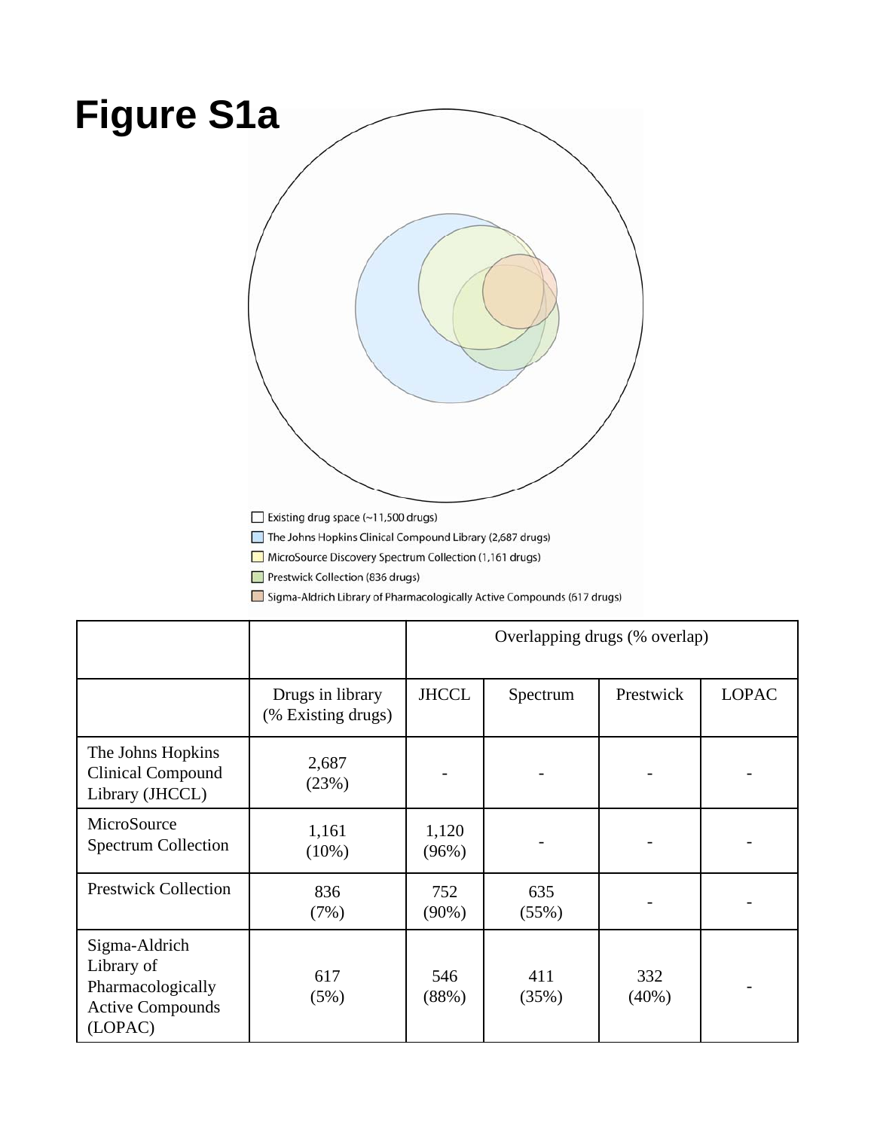# **Figure S1a**Existing drug space (~11,500 drugs) The Johns Hopkins Clinical Compound Library (2,687 drugs)

MicroSource Discovery Spectrum Collection (1,161 drugs)

Prestwick Collection (836 drugs)

Sigma-Aldrich Library of Pharmacologically Active Compounds (617 drugs)

|                                                                                        |                                        | Overlapping drugs (% overlap) |              |                 |              |
|----------------------------------------------------------------------------------------|----------------------------------------|-------------------------------|--------------|-----------------|--------------|
|                                                                                        | Drugs in library<br>(% Existing drugs) | <b>JHCCL</b>                  | Spectrum     | Prestwick       | <b>LOPAC</b> |
| The Johns Hopkins<br><b>Clinical Compound</b><br>Library (JHCCL)                       | 2,687<br>(23%)                         |                               |              |                 |              |
| MicroSource<br><b>Spectrum Collection</b>                                              | 1,161<br>$(10\%)$                      | 1,120<br>(96%)                |              |                 |              |
| <b>Prestwick Collection</b>                                                            | 836<br>(7%)                            | 752<br>$(90\%)$               | 635<br>(55%) |                 |              |
| Sigma-Aldrich<br>Library of<br>Pharmacologically<br><b>Active Compounds</b><br>(LOPAC) | 617<br>(5%)                            | 546<br>(88%)                  | 411<br>(35%) | 332<br>$(40\%)$ |              |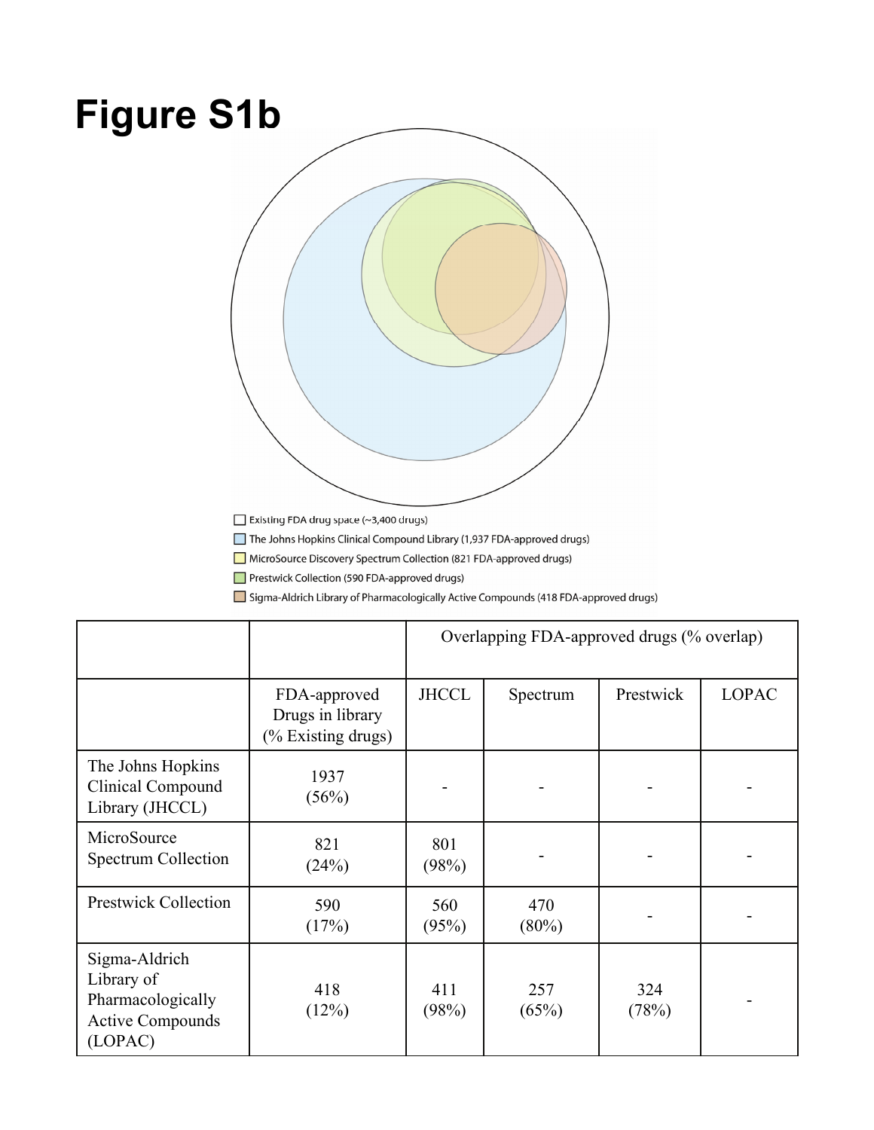# **Figure S1b**



The Johns Hopkins Clinical Compound Library (1,937 FDA-approved drugs)

MicroSource Discovery Spectrum Collection (821 FDA-approved drugs)

Prestwick Collection (590 FDA-approved drugs)

Sigma-Aldrich Library of Pharmacologically Active Compounds (418 FDA-approved drugs)

|                                                                                        |                                                        | Overlapping FDA-approved drugs (% overlap) |                 |              |              |
|----------------------------------------------------------------------------------------|--------------------------------------------------------|--------------------------------------------|-----------------|--------------|--------------|
|                                                                                        | FDA-approved<br>Drugs in library<br>(% Existing drugs) | <b>JHCCL</b>                               | Spectrum        | Prestwick    | <b>LOPAC</b> |
| The Johns Hopkins<br>Clinical Compound<br>Library (JHCCL)                              | 1937<br>(56%)                                          |                                            |                 |              |              |
| MicroSource<br>Spectrum Collection                                                     | 821<br>(24%)                                           | 801<br>(98%)                               |                 |              |              |
| <b>Prestwick Collection</b>                                                            | 590<br>(17%)                                           | 560<br>(95%)                               | 470<br>$(80\%)$ |              |              |
| Sigma-Aldrich<br>Library of<br>Pharmacologically<br><b>Active Compounds</b><br>(LOPAC) | 418<br>(12%)                                           | 411<br>(98%)                               | 257<br>(65%)    | 324<br>(78%) |              |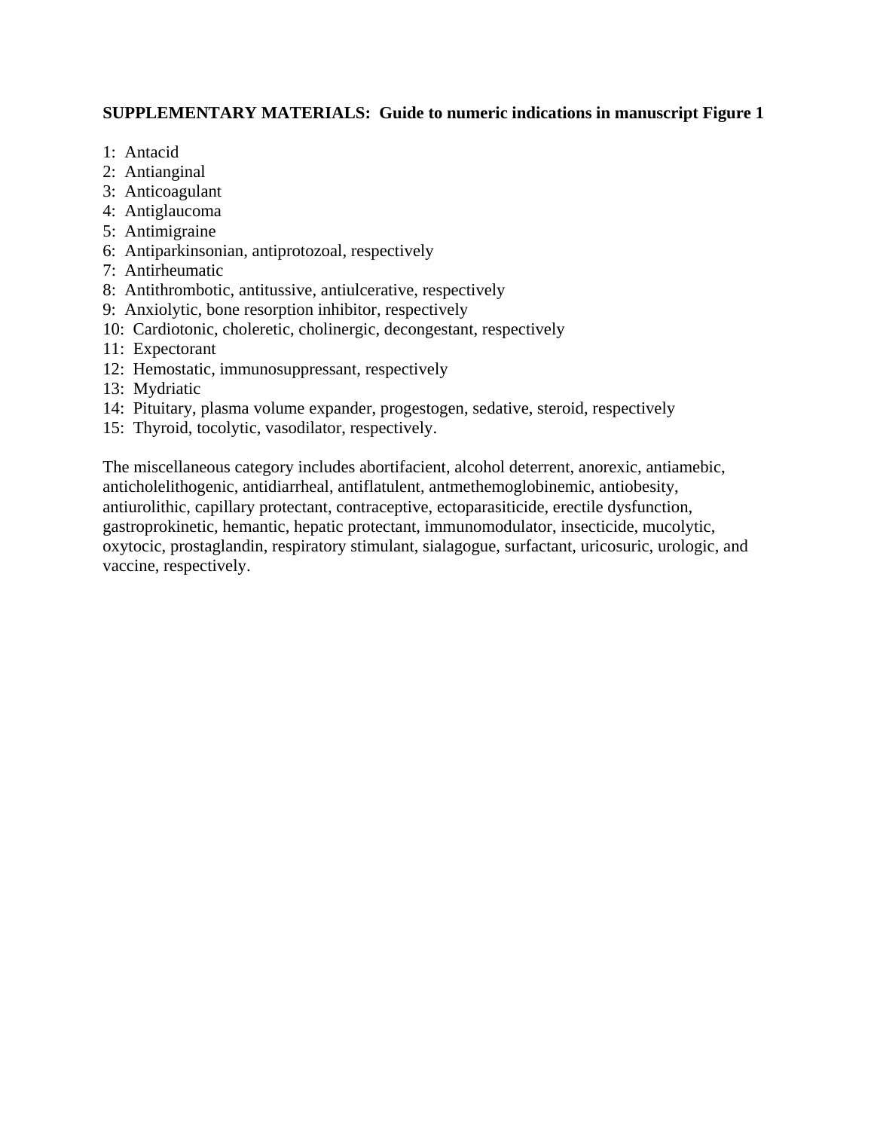## **SUPPLEMENTARY MATERIALS: Guide to numeric indications in manuscript Figure 1**

- 1: Antacid
- 2: Antianginal
- 3: Anticoagulant
- 4: Antiglaucoma
- 5: Antimigraine
- 6: Antiparkinsonian, antiprotozoal, respectively
- 7: Antirheumatic
- 8: Antithrombotic, antitussive, antiulcerative, respectively
- 9: Anxiolytic, bone resorption inhibitor, respectively
- 10: Cardiotonic, choleretic, cholinergic, decongestant, respectively
- 11: Expectorant
- 12: Hemostatic, immunosuppressant, respectively
- 13: Mydriatic
- 14: Pituitary, plasma volume expander, progestogen, sedative, steroid, respectively
- 15: Thyroid, tocolytic, vasodilator, respectively.

The miscellaneous category includes abortifacient, alcohol deterrent, anorexic, antiamebic, anticholelithogenic, antidiarrheal, antiflatulent, antmethemoglobinemic, antiobesity, antiurolithic, capillary protectant, contraceptive, ectoparasiticide, erectile dysfunction, gastroprokinetic, hemantic, hepatic protectant, immunomodulator, insecticide, mucolytic, oxytocic, prostaglandin, respiratory stimulant, sialagogue, surfactant, uricosuric, urologic, and vaccine, respectively.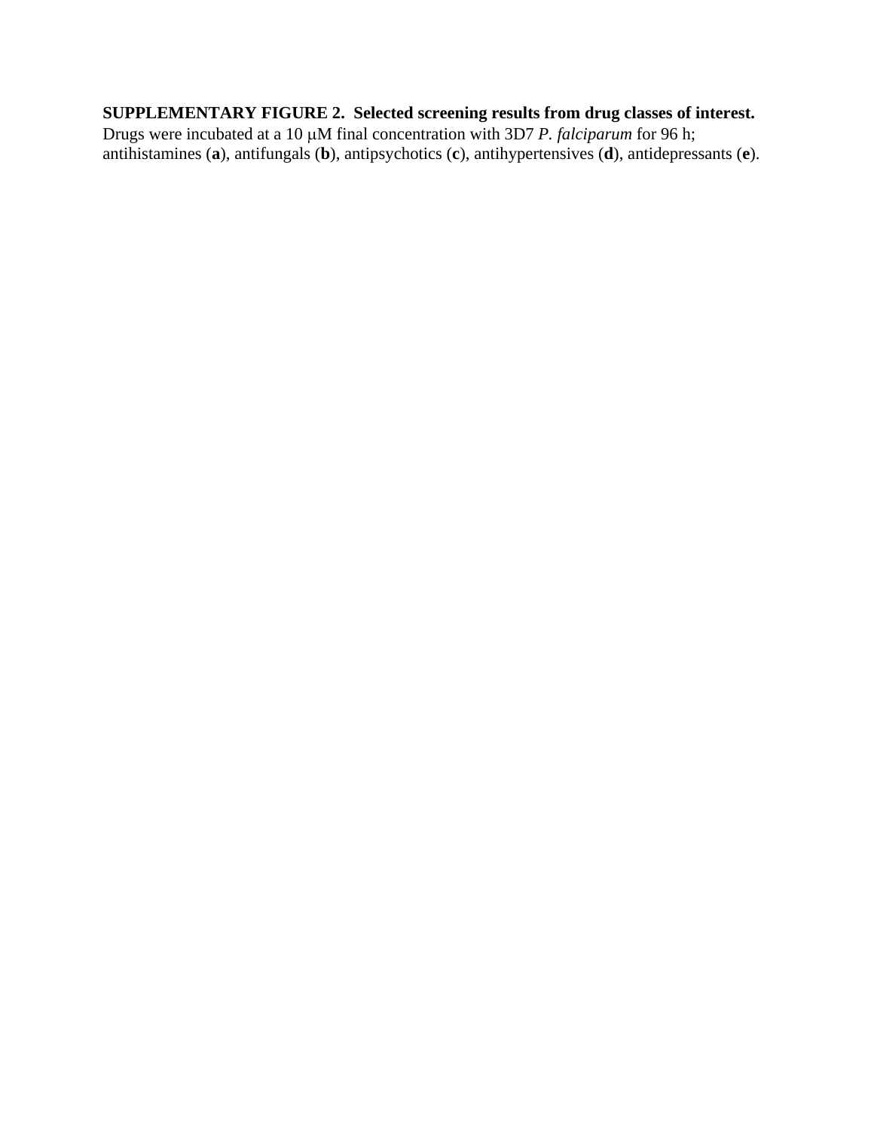## **SUPPLEMENTARY FIGURE 2. Selected screening results from drug classes of interest.**

Drugs were incubated at a 10 μM final concentration with 3D7 *P. falciparum* for 96 h; antihistamines (**a**), antifungals (**b**), antipsychotics (**c**), antihypertensives (**d**), antidepressants (**e**).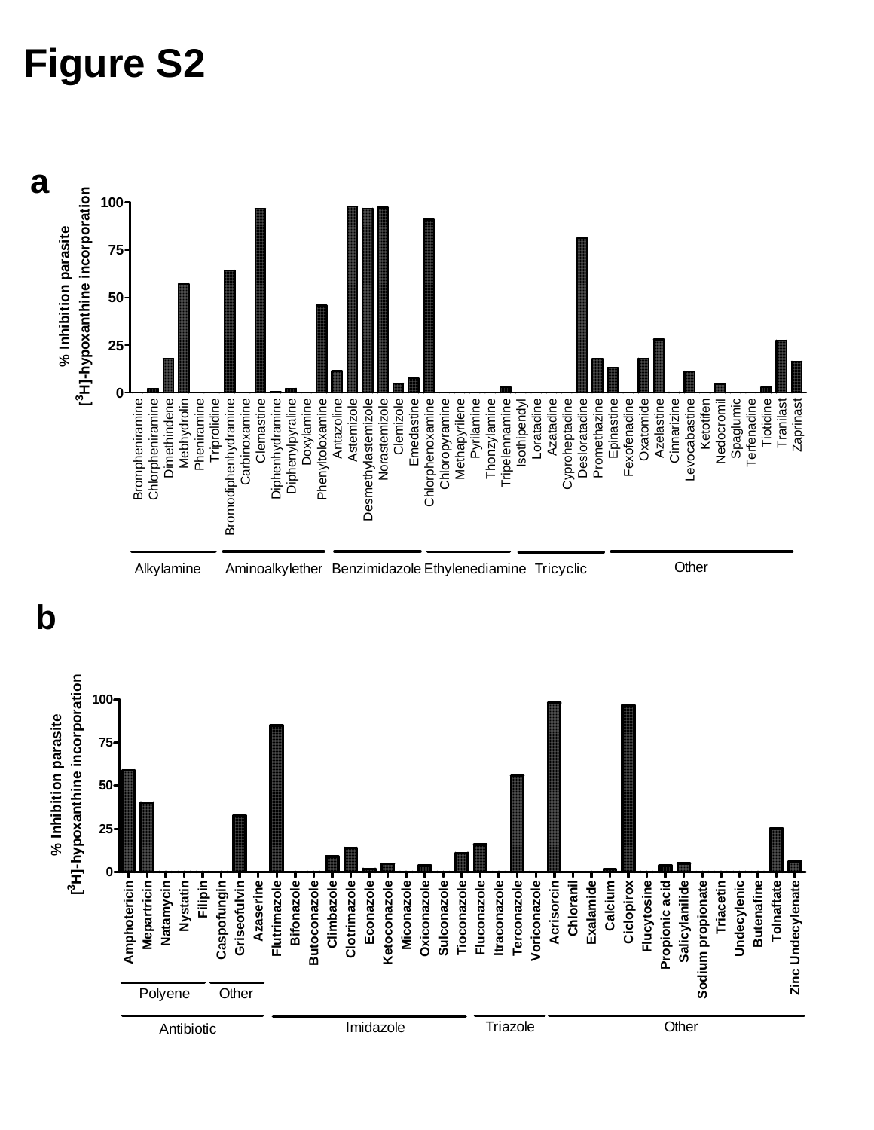# **Figure S2**

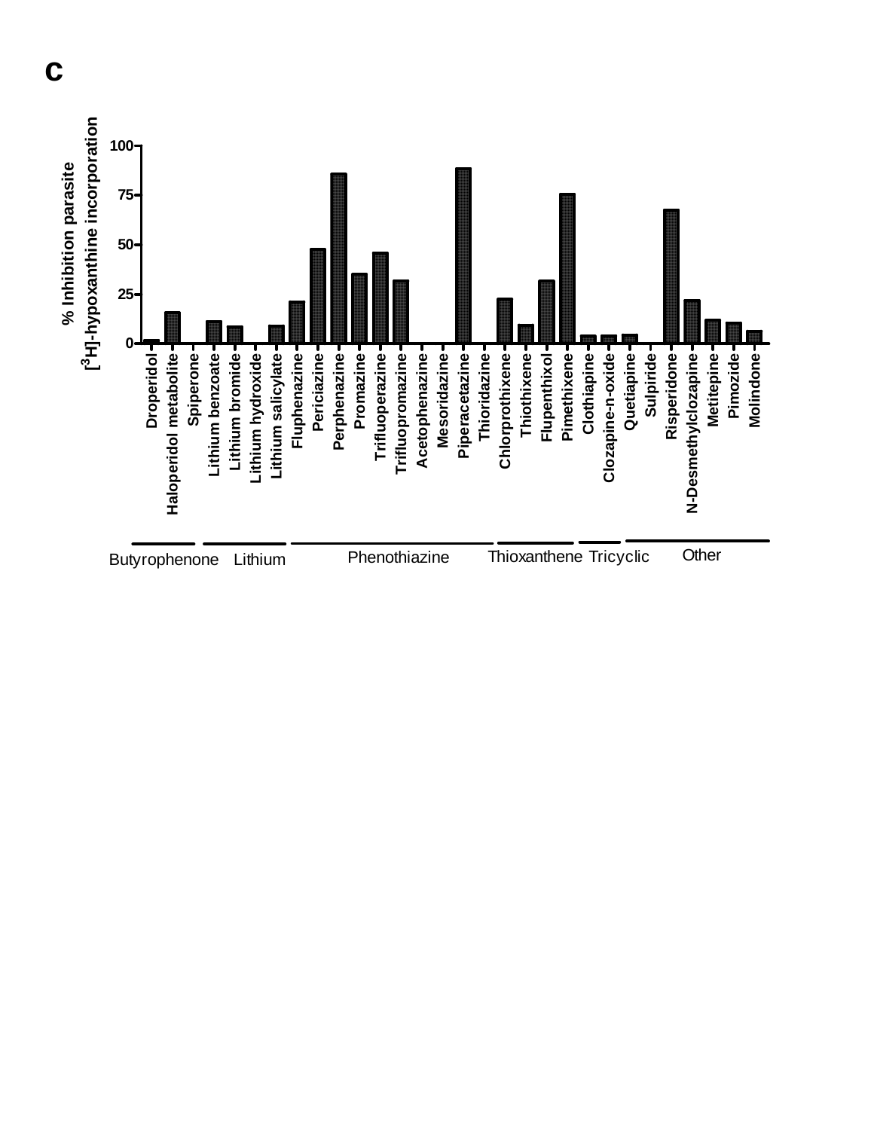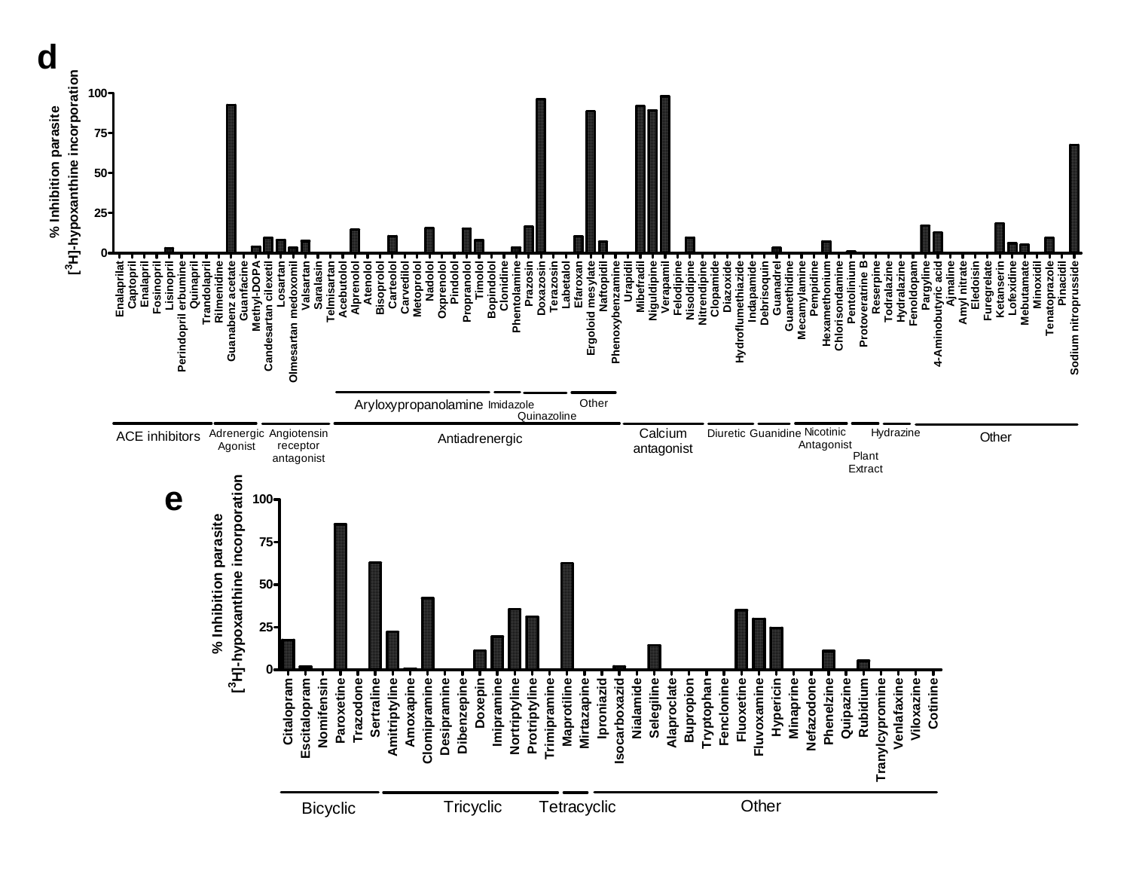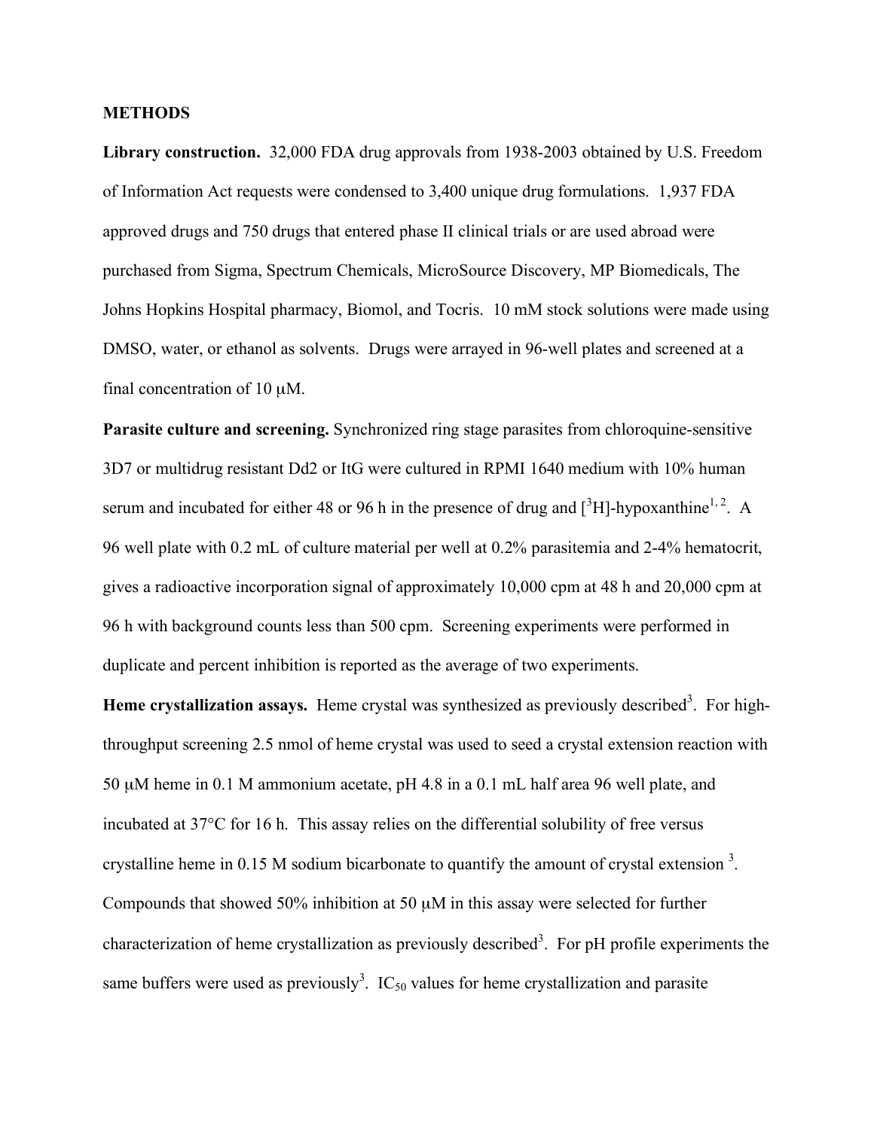### **METHODS**

**Library construction.** 32,000 FDA drug approvals from 1938-2003 obtained by U.S. Freedom of Information Act requests were condensed to 3,400 unique drug formulations. 1,937 FDA approved drugs and 750 drugs that entered phase II clinical trials or are used abroad were purchased from Sigma, Spectrum Chemicals, MicroSource Discovery, MP Biomedicals, The Johns Hopkins Hospital pharmacy, Biomol, and Tocris. 10 mM stock solutions were made using DMSO, water, or ethanol as solvents. Drugs were arrayed in 96-well plates and screened at a final concentration of  $10 \mu M$ .

**Parasite culture and screening.** Synchronized ring stage parasites from chloroquine-sensitive 3D7 or multidrug resistant Dd2 or ItG were cultured in RPMI 1640 medium with 10% human serum and incubated for either 48 or 96 h in the presence of drug and  $[^{3}H]$ -hypoxanthine<sup>1, 2</sup>. A 96 well plate with 0.2 mL of culture material per well at 0.2% parasitemia and 2-4% hematocrit, gives a radioactive incorporation signal of approximately 10,000 cpm at 48 h and 20,000 cpm at 96 h with background counts less than 500 cpm. Screening experiments were performed in duplicate and percent inhibition is reported as the average of two experiments.

Heme crystallization assays. Heme crystal was synthesized as previously described<sup>3</sup>. For highthroughput screening 2.5 nmol of heme crystal was used to seed a crystal extension reaction with 50 µM heme in 0.1 M ammonium acetate, pH 4.8 in a 0.1 mL half area 96 well plate, and incubated at 37°C for 16 h. This assay relies on the differential solubility of free versus crystalline heme in 0.15 M sodium bicarbonate to quantify the amount of crystal extension<sup>3</sup>. Compounds that showed 50% inhibition at 50 µM in this assay were selected for further characterization of heme crystallization as previously described<sup>3</sup>. For pH profile experiments the same buffers were used as previously<sup>3</sup>. IC<sub>50</sub> values for heme crystallization and parasite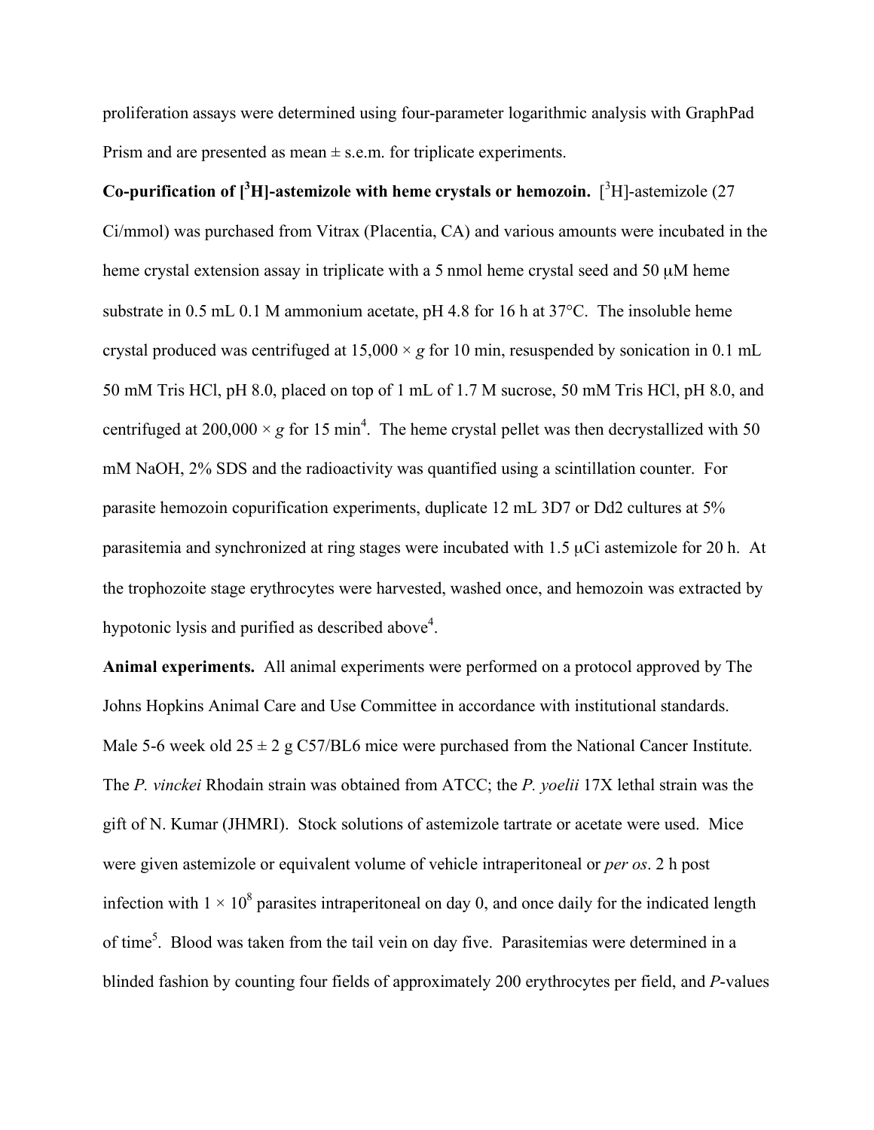proliferation assays were determined using four-parameter logarithmic analysis with GraphPad Prism and are presented as mean  $\pm$  s.e.m. for triplicate experiments.

Co-purification of  $\int_0^3 H$ ]-astemizole with heme crystals or hemozoin.  $\int_0^3 H$ ]-astemizole (27 Ci/mmol) was purchased from Vitrax (Placentia, CA) and various amounts were incubated in the heme crystal extension assay in triplicate with a 5 nmol heme crystal seed and 50  $\mu$ M heme substrate in 0.5 mL 0.1 M ammonium acetate, pH 4.8 for 16 h at 37°C. The insoluble heme crystal produced was centrifuged at  $15,000 \times g$  for 10 min, resuspended by sonication in 0.1 mL 50 mM Tris HCl, pH 8.0, placed on top of 1 mL of 1.7 M sucrose, 50 mM Tris HCl, pH 8.0, and centrifuged at 200,000  $\times g$  for 15 min<sup>4</sup>. The heme crystal pellet was then decrystallized with 50 mM NaOH, 2% SDS and the radioactivity was quantified using a scintillation counter. For parasite hemozoin copurification experiments, duplicate 12 mL 3D7 or Dd2 cultures at 5% parasitemia and synchronized at ring stages were incubated with 1.5 µCi astemizole for 20 h. At the trophozoite stage erythrocytes were harvested, washed once, and hemozoin was extracted by hypotonic lysis and purified as described above $4$ .

**Animal experiments.** All animal experiments were performed on a protocol approved by The Johns Hopkins Animal Care and Use Committee in accordance with institutional standards. Male 5-6 week old  $25 \pm 2$  g C57/BL6 mice were purchased from the National Cancer Institute. The *P. vinckei* Rhodain strain was obtained from ATCC; the *P. yoelii* 17X lethal strain was the gift of N. Kumar (JHMRI). Stock solutions of astemizole tartrate or acetate were used. Mice were given astemizole or equivalent volume of vehicle intraperitoneal or *per os*. 2 h post infection with  $1 \times 10^8$  parasites intraperitoneal on day 0, and once daily for the indicated length of time<sup>5</sup>. Blood was taken from the tail vein on day five. Parasitemias were determined in a blinded fashion by counting four fields of approximately 200 erythrocytes per field, and *P*-values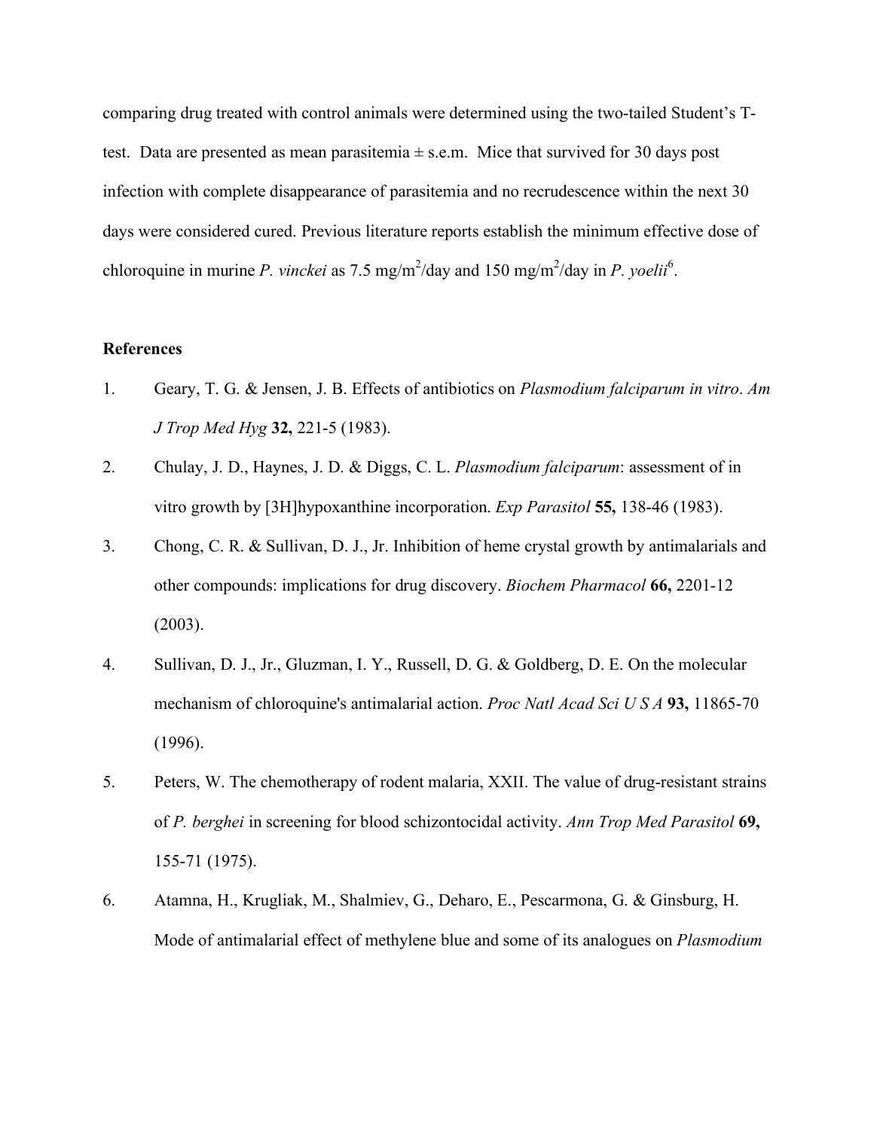comparing drug treated with control animals were determined using the two-tailed Student's Ttest. Data are presented as mean parasitemia  $\pm$  s.e.m. Mice that survived for 30 days post infection with complete disappearance of parasitemia and no recrudescence within the next 30 days were considered cured. Previous literature reports establish the minimum effective dose of chloroquine in murine *P. vinckei* as 7.5 mg/m<sup>2</sup>/day and 150 mg/m<sup>2</sup>/day in *P. yoelii*<sup>6</sup>.

### **References**

- 1. Geary, T. G. & Jensen, J. B. Effects of antibiotics on *Plasmodium falciparum in vitro*. *Am J Trop Med Hyg* **32,** 221-5 (1983).
- 2. Chulay, J. D., Haynes, J. D. & Diggs, C. L. *Plasmodium falciparum*: assessment of in vitro growth by [3H]hypoxanthine incorporation. *Exp Parasitol* **55,** 138-46 (1983).
- 3. Chong, C. R. & Sullivan, D. J., Jr. Inhibition of heme crystal growth by antimalarials and other compounds: implications for drug discovery. *Biochem Pharmacol* **66,** 2201-12 (2003).
- 4. Sullivan, D. J., Jr., Gluzman, I. Y., Russell, D. G. & Goldberg, D. E. On the molecular mechanism of chloroquine's antimalarial action. *Proc Natl Acad Sci U S A* **93,** 11865-70 (1996).
- 5. Peters, W. The chemotherapy of rodent malaria, XXII. The value of drug-resistant strains of *P. berghei* in screening for blood schizontocidal activity. *Ann Trop Med Parasitol* **69,** 155-71 (1975).
- 6. Atamna, H., Krugliak, M., Shalmiev, G., Deharo, E., Pescarmona, G. & Ginsburg, H. Mode of antimalarial effect of methylene blue and some of its analogues on *Plasmodium*